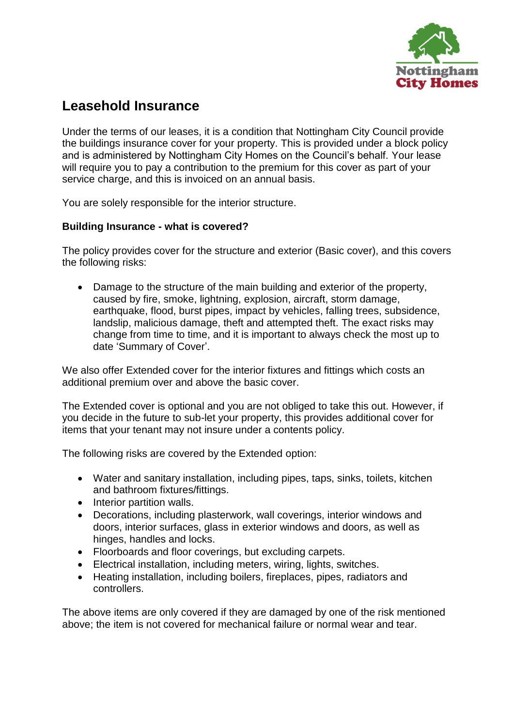

# **Leasehold Insurance**

Under the terms of our leases, it is a condition that Nottingham City Council provide the buildings insurance cover for your property. This is provided under a block policy and is administered by Nottingham City Homes on the Council's behalf. Your lease will require you to pay a contribution to the premium for this cover as part of your service charge, and this is invoiced on an annual basis.

You are solely responsible for the interior structure.

## **Building Insurance - what is covered?**

The policy provides cover for the structure and exterior (Basic cover), and this covers the following risks:

 Damage to the structure of the main building and exterior of the property, caused by fire, smoke, lightning, explosion, aircraft, storm damage, earthquake, flood, burst pipes, impact by vehicles, falling trees, subsidence, landslip, malicious damage, theft and attempted theft. The exact risks may change from time to time, and it is important to always check the most up to date 'Summary of Cover'.

We also offer Extended cover for the interior fixtures and fittings which costs an additional premium over and above the basic cover.

The Extended cover is optional and you are not obliged to take this out. However, if you decide in the future to sub-let your property, this provides additional cover for items that your tenant may not insure under a contents policy.

The following risks are covered by the Extended option:

- Water and sanitary installation, including pipes, taps, sinks, toilets, kitchen and bathroom fixtures/fittings.
- Interior partition walls.
- Decorations, including plasterwork, wall coverings, interior windows and doors, interior surfaces, glass in exterior windows and doors, as well as hinges, handles and locks.
- Floorboards and floor coverings, but excluding carpets.
- Electrical installation, including meters, wiring, lights, switches.
- Heating installation, including boilers, fireplaces, pipes, radiators and controllers.

The above items are only covered if they are damaged by one of the risk mentioned above; the item is not covered for mechanical failure or normal wear and tear.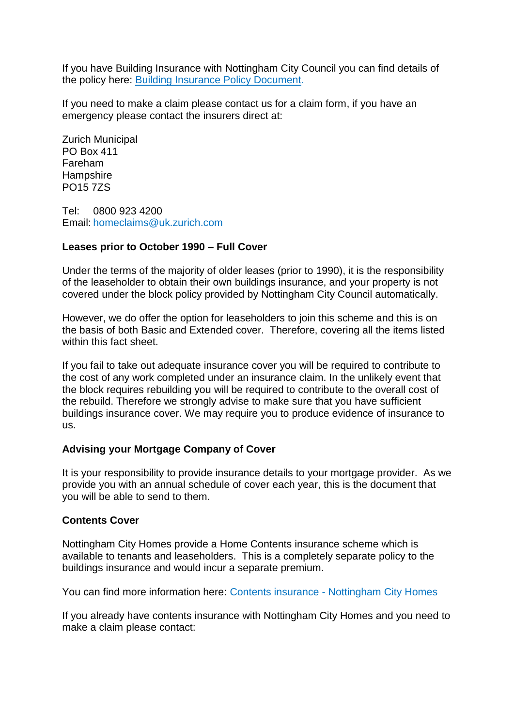If you have Building Insurance with Nottingham City Council you can find details of the policy here: [Building Insurance Policy Document.](https://www.nottinghamcityhomes.org.uk/media/3373244/buildings-insurance-policy.pdf)

If you need to make a claim please contact us for a claim form, if you have an emergency please contact the insurers direct at:

Zurich Municipal PO Box 411 Fareham **Hampshire** PO15 7ZS

Tel: 0800 923 4200 Email: [homeclaims@uk.zurich.com](mailto:homeclaims@uk.zurich.com)

### **Leases prior to October 1990 – Full Cover**

Under the terms of the majority of older leases (prior to 1990), it is the responsibility of the leaseholder to obtain their own buildings insurance, and your property is not covered under the block policy provided by Nottingham City Council automatically.

However, we do offer the option for leaseholders to join this scheme and this is on the basis of both Basic and Extended cover. Therefore, covering all the items listed within this fact sheet.

If you fail to take out adequate insurance cover you will be required to contribute to the cost of any work completed under an insurance claim. In the unlikely event that the block requires rebuilding you will be required to contribute to the overall cost of the rebuild. Therefore we strongly advise to make sure that you have sufficient buildings insurance cover. We may require you to produce evidence of insurance to us.

## **Advising your Mortgage Company of Cover**

It is your responsibility to provide insurance details to your mortgage provider. As we provide you with an annual schedule of cover each year, this is the document that you will be able to send to them.

### **Contents Cover**

Nottingham City Homes provide a Home Contents insurance scheme which is available to tenants and leaseholders. This is a completely separate policy to the buildings insurance and would incur a separate premium.

You can find more information here: Contents insurance - [Nottingham City Homes](https://nottinghamcityhomes.org.uk/your-rent/contents-insurance/)

If you already have contents insurance with Nottingham City Homes and you need to make a claim please contact: